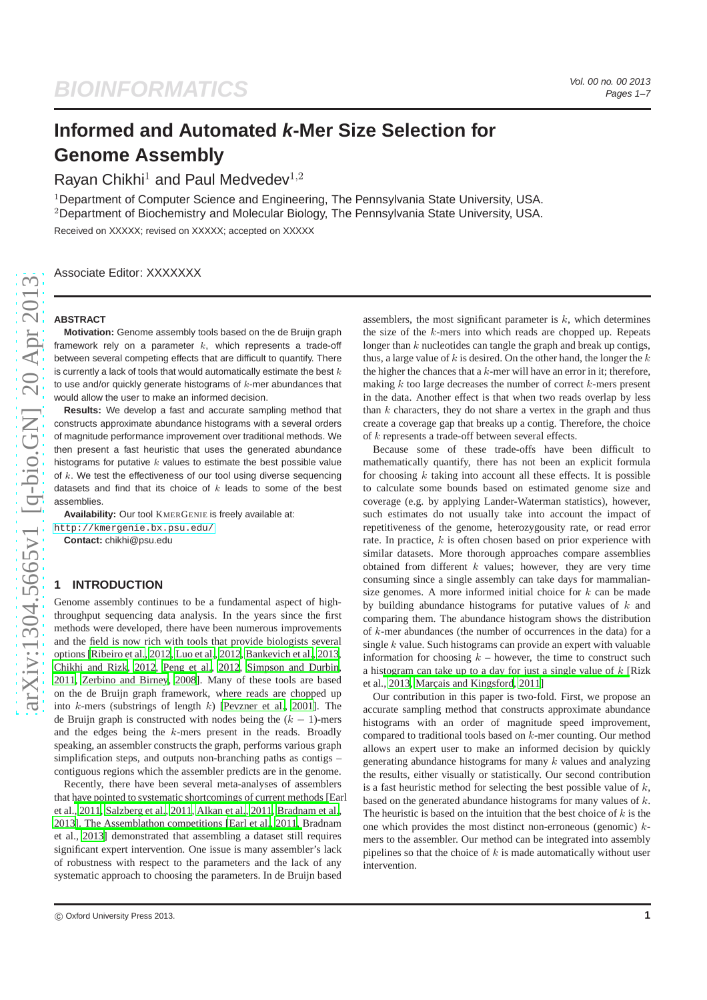# **Informed and Automated k-Mer Size Selection for Genome Assembly**

Rayan Chikhi<sup>1</sup> and Paul Medvedev<sup>1,2</sup>

<sup>1</sup>Department of Computer Science and Engineering, The Pennsylvania State University, USA. <sup>2</sup>Department of Biochemistry and Molecular Biology, The Pennsylvania State University, USA. Received on XXXXX; revised on XXXXX; accepted on XXXXX

Associate Editor: XXXXXXX

# **ABSTRACT**

**Motivation:** Genome assembly tools based on the de Bruijn graph framework rely on a parameter  $k$ , which represents a trade-off between several competing effects that are difficult to quantify. There is currently a lack of tools that would automatically estimate the best  $k$ to use and/or quickly generate histograms of  $k$ -mer abundances that would allow the user to make an informed decision.

**Results:** We develop a fast and accurate sampling method that constructs approximate abundance histograms with a several orders of magnitude performance improvement over traditional methods. We then present a fast heuristic that uses the generated abundance histograms for putative  $k$  values to estimate the best possible value of  $k$ . We test the effectiveness of our tool using diverse sequencing datasets and find that its choice of  $k$  leads to some of the best assemblies.

**Availability:** Our tool KMERGENIE is freely available at:

<http://kmergenie.bx.psu.edu/>

**Contact:** chikhi@psu.edu

# **INTRODUCTION**

Genome assembly continues to be a fundamental aspect of highthroughput sequencing data analysis. In the years since the first methods were developed, there have been numerous improvements and the field is now rich with tools that provide biologists several options [\[Ribeiro et al.](#page-6-0), [2012,](#page-6-0) [Luo et al., 2012,](#page-6-1) [Bankevich et](#page-6-2) al., [2013](#page-6-2), [Chikhi and Rizk](#page-6-3), [2012](#page-6-3), [Peng et al.](#page-6-4), [2012,](#page-6-4) [Simpson and Durbin](#page-6-5), [2011](#page-6-5), [Zerbino and Birney, 2008](#page-6-6)]. Many of these tools are based on the de Bruijn graph framework, where reads are chopped up into  $k$ -mers (substrings of length  $k$ ) [\[Pevzner et al., 2001\]](#page-6-7). The de Bruijn graph is constructed with nodes being the  $(k - 1)$ -mers and the edges being the k-mers present in the reads. Broadly speaking, an assembler constructs the graph, performs various graph simplification steps, and outputs non-branching paths as contigs – contiguous regions which the assembler predicts are in the genome.

Recently, there have been several meta-analyses of assemblers that [have pointed to systematic shortcomings of current methods \[](#page-6-8)Earl et al., [2011,](#page-6-8) [Salzberg et al.](#page-6-9), [2011](#page-6-9), [Alkan et al., 2011,](#page-6-10) [Bradnam et al.](#page-6-11), [2013\]. The Assemblathon competitions](#page-6-11) [\[Earl et al., 2011](#page-6-8)[,](#page-6-11) Bradnam et al., [2013](#page-6-11)] demonstrated that assembling a dataset still requires significant expert intervention. One issue is many assembler's lack of robustness with respect to the parameters and the lack of any systematic approach to choosing the parameters. In de Bruijn based

assemblers, the most significant parameter is  $k$ , which determines the size of the  $k$ -mers into which reads are chopped up. Repeats longer than  $k$  nucleotides can tangle the graph and break up contigs, thus, a large value of  $k$  is desired. On the other hand, the longer the  $k$ the higher the chances that a  $k$ -mer will have an error in it; therefore, making  $k$  too large decreases the number of correct  $k$ -mers present in the data. Another effect is that when two reads overlap by less than  $k$  characters, they do not share a vertex in the graph and thus create a coverage gap that breaks up a contig. Therefore, the choice of k represents a trade-off between several effects.

Because some of these trade-offs have been difficult to mathematically quantify, there has not been an explicit formula for choosing  $k$  taking into account all these effects. It is possible to calculate some bounds based on estimated genome size and coverage (e.g. by applying Lander-Waterman statistics), however, such estimates do not usually take into account the impact of repetitiveness of the genome, heterozygousity rate, or read error rate. In practice,  $k$  is often chosen based on prior experience with similar datasets. More thorough approaches compare assemblies obtained from different  $k$  values; however, they are very time consuming since a single assembly can take days for mammaliansize genomes. A more informed initial choice for  $k$  can be made by building abundance histograms for putative values of  $k$  and comparing them. The abundance histogram shows the distribution of k-mer abundances (the number of occurrences in the data) for a single  $k$  value. Such histograms can provide an expert with valuable information for choosing  $k$  – however, the time to construct such a his[togram can take up to a day for just a single value of](#page-6-12)  $k$  [Rizk] et al., [2013](#page-6-12), Marcais and Kingsford, [2011\]](#page-6-13)

Our contribution in this paper is two-fold. First, we propose an accurate sampling method that constructs approximate abundance histograms with an order of magnitude speed improvement, compared to traditional tools based on k-mer counting. Our method allows an expert user to make an informed decision by quickly generating abundance histograms for many k values and analyzing the results, either visually or statistically. Our second contribution is a fast heuristic method for selecting the best possible value of  $k$ , based on the generated abundance histograms for many values of k. The heuristic is based on the intuition that the best choice of  $k$  is the one which provides the most distinct non-erroneous (genomic)  $k$ mers to the assembler. Our method can be integrated into assembly pipelines so that the choice of  $k$  is made automatically without user intervention.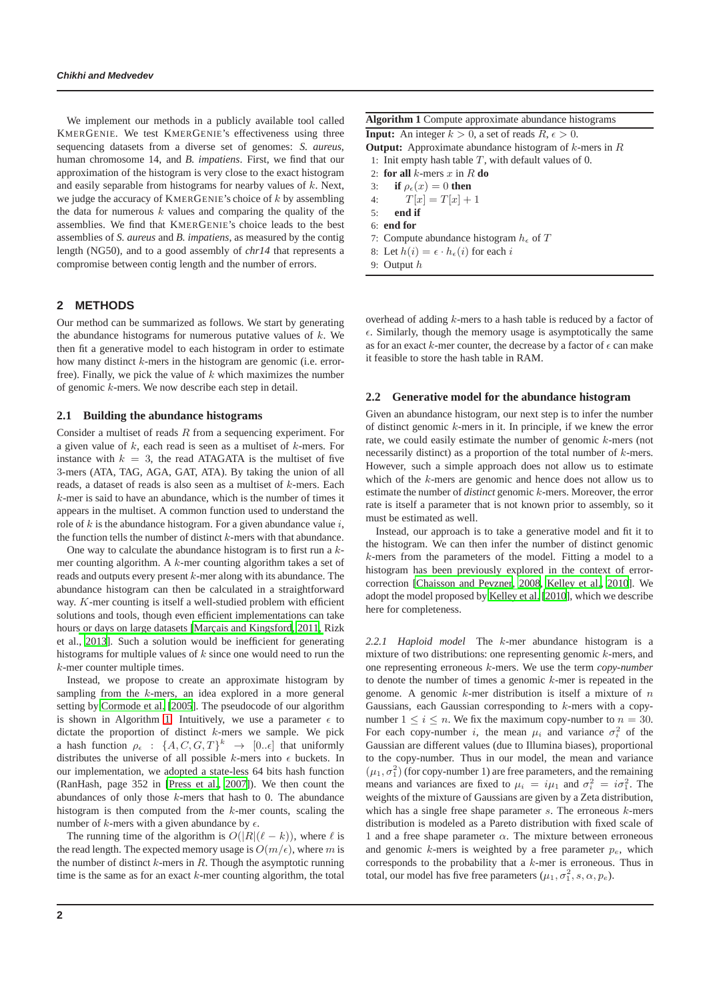We implement our methods in a publicly available tool called KMERGENIE. We test KMERGENIE's effectiveness using three sequencing datasets from a diverse set of genomes: *S. aureus*, human chromosome 14, and *B. impatiens*. First, we find that our approximation of the histogram is very close to the exact histogram and easily separable from histograms for nearby values of k. Next, we judge the accuracy of KMERGENIE's choice of  $k$  by assembling the data for numerous  $k$  values and comparing the quality of the assemblies. We find that KMERGENIE's choice leads to the best assemblies of *S. aureus* and *B. impatiens*, as measured by the contig length (NG50), and to a good assembly of *chr14* that represents a compromise between contig length and the number of errors.

## **2 METHODS**

Our method can be summarized as follows. We start by generating the abundance histograms for numerous putative values of  $k$ . We then fit a generative model to each histogram in order to estimate how many distinct k-mers in the histogram are genomic (i.e. errorfree). Finally, we pick the value of  $k$  which maximizes the number of genomic  $k$ -mers. We now describe each step in detail.

#### **2.1 Building the abundance histograms**

Consider a multiset of reads R from a sequencing experiment. For a given value of  $k$ , each read is seen as a multiset of  $k$ -mers. For instance with  $k = 3$ , the read ATAGATA is the multiset of five 3-mers (ATA, TAG, AGA, GAT, ATA). By taking the union of all reads, a dataset of reads is also seen as a multiset of k-mers. Each k-mer is said to have an abundance, which is the number of times it appears in the multiset. A common function used to understand the role of  $k$  is the abundance histogram. For a given abundance value  $i$ , the function tells the number of distinct  $k$ -mers with that abundance.

One way to calculate the abundance histogram is to first run a kmer counting algorithm. A k-mer counting algorithm takes a set of reads and outputs every present  $k$ -mer along with its abundance. The abundance histogram can then be calculated in a straightforward way. K-mer counting is itself a well-studied problem with efficient solutions and tools, though even efficient implementations can take hour[s or days on large datasets](#page-6-12) [Marçais and Kingsford[,](#page-6-12) [2011](#page-6-13), Rizk et al., [2013\]](#page-6-12). Such a solution would be inefficient for generating histograms for multiple values of  $k$  since one would need to run the k-mer counter multiple times.

Instead, we propose to create an approximate histogram by sampling from the k-mers, an idea explored in a more general setting by [Cormode et al. \[2005\]](#page-6-14). The pseudocode of our algorithm is shown in Algorithm [1.](#page-1-0) Intuitively, we use a parameter  $\epsilon$  to dictate the proportion of distinct k-mers we sample. We pick a hash function  $\rho_{\epsilon}$  :  $\{A, C, G, T\}^k \rightarrow [0..\epsilon]$  that uniformly distributes the universe of all possible k-mers into  $\epsilon$  buckets. In our implementation, we adopted a state-less 64 bits hash function (RanHash, page 352 in [\[Press et al., 2007](#page-6-15)]). We then count the abundances of only those  $k$ -mers that hash to 0. The abundance histogram is then computed from the  $k$ -mer counts, scaling the number of k-mers with a given abundance by  $\epsilon$ .

The running time of the algorithm is  $O(|R|(\ell - k))$ , where  $\ell$  is the read length. The expected memory usage is  $O(m/\epsilon)$ , where m is the number of distinct  $k$ -mers in  $R$ . Though the asymptotic running time is the same as for an exact  $k$ -mer counting algorithm, the total **Input:** An integer  $k > 0$ , a set of reads  $R, \epsilon > 0$ . **Output:** Approximate abundance histogram of k-mers in R 1: Init empty hash table  $T$ , with default values of 0.

2: **for all**  $k$ -mers  $x$  in  $R$  **do** 

3: **if**  $\rho_{\epsilon}(x) = 0$  **then** 

4:  $T[x] = T[x] + 1$ 

- 5: **end if**
- 6: **end for**
- 7: Compute abundance histogram  $h_{\epsilon}$  of T
- 8: Let  $h(i) = \epsilon \cdot h_{\epsilon}(i)$  for each i
- <span id="page-1-0"></span>9: Output h

overhead of adding k-mers to a hash table is reduced by a factor of  $\epsilon$ . Similarly, though the memory usage is asymptotically the same as for an exact k-mer counter, the decrease by a factor of  $\epsilon$  can make it feasible to store the hash table in RAM.

## **2.2 Generative model for the abundance histogram**

Given an abundance histogram, our next step is to infer the number of distinct genomic  $k$ -mers in it. In principle, if we knew the error rate, we could easily estimate the number of genomic k-mers (not necessarily distinct) as a proportion of the total number of  $k$ -mers. However, such a simple approach does not allow us to estimate which of the k-mers are genomic and hence does not allow us to estimate the number of *distinct* genomic k-mers. Moreover, the error rate is itself a parameter that is not known prior to assembly, so it must be estimated as well.

Instead, our approach is to take a generative model and fit it to the histogram. We can then infer the number of distinct genomic k-mers from the parameters of the model. Fitting a model to a histogram has been previously explored in the context of errorcorrection [\[Chaisson and Pevzner](#page-6-16), [2008,](#page-6-16) [Kelley et al., 2010\]](#page-6-17). We adopt the model proposed by [Kelley et al. \[2010\]](#page-6-17), which we describe here for completeness.

*2.2.1 Haploid model* The k-mer abundance histogram is a mixture of two distributions: one representing genomic k-mers, and one representing erroneous k-mers. We use the term *copy-number* to denote the number of times a genomic  $k$ -mer is repeated in the genome. A genomic  $k$ -mer distribution is itself a mixture of  $n$ Gaussians, each Gaussian corresponding to  $k$ -mers with a copynumber  $1 \leq i \leq n$ . We fix the maximum copy-number to  $n = 30$ . For each copy-number i, the mean  $\mu_i$  and variance  $\sigma_i^2$  of the Gaussian are different values (due to Illumina biases), proportional to the copy-number. Thus in our model, the mean and variance  $(\mu_1, \sigma_1^2)$  (for copy-number 1) are free parameters, and the remaining means and variances are fixed to  $\mu_i = i \mu_1$  and  $\sigma_i^2 = i \sigma_1^2$ . The weights of the mixture of Gaussians are given by a Zeta distribution, which has a single free shape parameter  $s$ . The erroneous  $k$ -mers distribution is modeled as a Pareto distribution with fixed scale of 1 and a free shape parameter  $\alpha$ . The mixture between erroneous and genomic k-mers is weighted by a free parameter  $p_e$ , which corresponds to the probability that a k-mer is erroneous. Thus in total, our model has five free parameters  $(\mu_1, \sigma_1^2, s, \alpha, p_e)$ .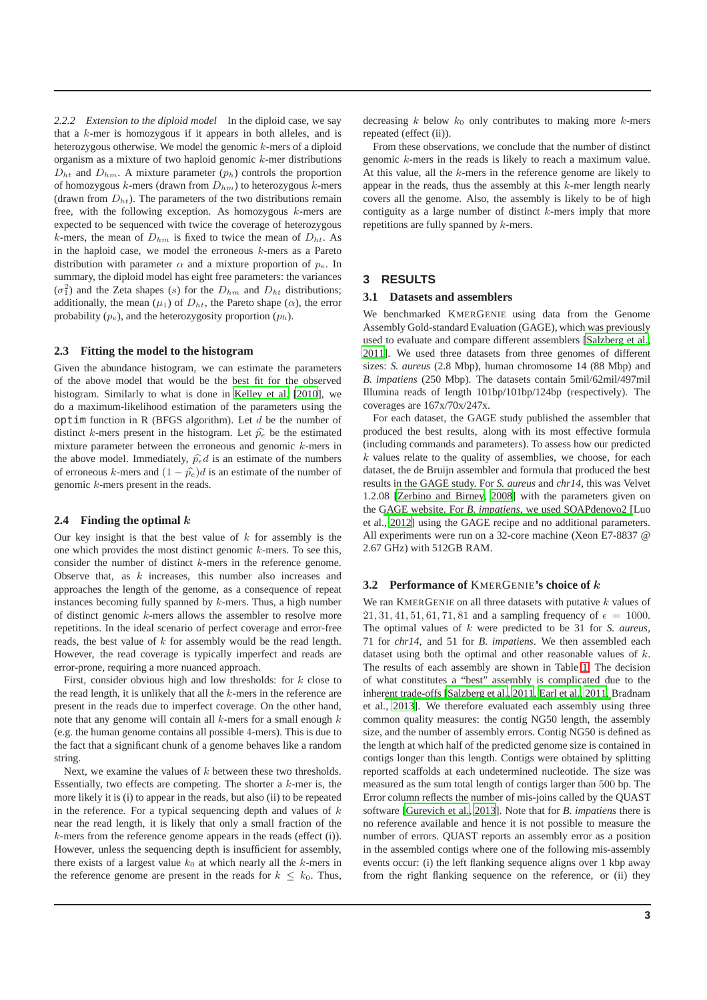*2.2.2 Extension to the diploid model* In the diploid case, we say that a  $k$ -mer is homozygous if it appears in both alleles, and is heterozygous otherwise. We model the genomic k-mers of a diploid organism as a mixture of two haploid genomic  $k$ -mer distributions  $D_{ht}$  and  $D_{hm}$ . A mixture parameter  $(p_h)$  controls the proportion of homozygous  $k$ -mers (drawn from  $D_{hm}$ ) to heterozygous  $k$ -mers (drawn from  $D_{ht}$ ). The parameters of the two distributions remain free, with the following exception. As homozygous  $k$ -mers are expected to be sequenced with twice the coverage of heterozygous k-mers, the mean of  $D_{hm}$  is fixed to twice the mean of  $D_{ht}$ . As in the haploid case, we model the erroneous  $k$ -mers as a Pareto distribution with parameter  $\alpha$  and a mixture proportion of  $p_e$ . In summary, the diploid model has eight free parameters: the variances  $(\sigma_1^2)$  and the Zeta shapes (s) for the  $D_{hm}$  and  $D_{ht}$  distributions; additionally, the mean  $(\mu_1)$  of  $D_{ht}$ , the Pareto shape  $(\alpha)$ , the error probability  $(p_e)$ , and the heterozygosity proportion  $(p_h)$ .

#### **2.3 Fitting the model to the histogram**

Given the abundance histogram, we can estimate the parameters of the above model that would be the best fit for the observed histogram. Similarly to what is done in [Kelley et al.](#page-6-17) [\[2010](#page-6-17)], we do a maximum-likelihood estimation of the parameters using the optim function in R (BFGS algorithm). Let  $d$  be the number of distinct k-mers present in the histogram. Let  $\hat{p}_e$  be the estimated mixture parameter between the erroneous and genomic  $k$ -mers in the above model. Immediately,  $\hat{p}_e d$  is an estimate of the numbers of erroneous k-mers and  $(1 - \hat{p}_e)d$  is an estimate of the number of genomic k-mers present in the reads.

#### **2.4 Finding the optimal** k

Our key insight is that the best value of  $k$  for assembly is the one which provides the most distinct genomic  $k$ -mers. To see this, consider the number of distinct k-mers in the reference genome. Observe that, as  $k$  increases, this number also increases and approaches the length of the genome, as a consequence of repeat instances becoming fully spanned by  $k$ -mers. Thus, a high number of distinct genomic  $k$ -mers allows the assembler to resolve more repetitions. In the ideal scenario of perfect coverage and error-free reads, the best value of  $k$  for assembly would be the read length. However, the read coverage is typically imperfect and reads are error-prone, requiring a more nuanced approach.

First, consider obvious high and low thresholds: for  $k$  close to the read length, it is unlikely that all the  $k$ -mers in the reference are present in the reads due to imperfect coverage. On the other hand, note that any genome will contain all  $k$ -mers for a small enough  $k$ (e.g. the human genome contains all possible 4-mers). This is due to the fact that a significant chunk of a genome behaves like a random string.

Next, we examine the values of  $k$  between these two thresholds. Essentially, two effects are competing. The shorter a  $k$ -mer is, the more likely it is (i) to appear in the reads, but also (ii) to be repeated in the reference. For a typical sequencing depth and values of  $k$ near the read length, it is likely that only a small fraction of the  $k$ -mers from the reference genome appears in the reads (effect (i)). However, unless the sequencing depth is insufficient for assembly, there exists of a largest value  $k_0$  at which nearly all the k-mers in the reference genome are present in the reads for  $k \leq k_0$ . Thus, decreasing  $k$  below  $k_0$  only contributes to making more  $k$ -mers repeated (effect (ii)).

From these observations, we conclude that the number of distinct genomic k-mers in the reads is likely to reach a maximum value. At this value, all the  $k$ -mers in the reference genome are likely to appear in the reads, thus the assembly at this  $k$ -mer length nearly covers all the genome. Also, the assembly is likely to be of high contiguity as a large number of distinct  $k$ -mers imply that more repetitions are fully spanned by k-mers.

## **3 RESULTS**

#### **3.1 Datasets and assemblers**

We benchmarked KMERGENIE using data from the Genome Assembly Gold-standard Evaluation (GAGE), which was previously used to evaluate and compare different assemblers [\[Salzberg et al.](#page-6-9), [2011](#page-6-9)]. We used three datasets from three genomes of different sizes: *S. aureus* (2.8 Mbp), human chromosome 14 (88 Mbp) and *B. impatiens* (250 Mbp). The datasets contain 5mil/62mil/497mil Illumina reads of length 101bp/101bp/124bp (respectively). The coverages are 167x/70x/247x.

For each dataset, the GAGE study published the assembler that produced the best results, along with its most effective formula (including commands and parameters). To assess how our predicted  $k$  values relate to the quality of assemblies, we choose, for each dataset, the de Bruijn assembler and formula that produced the best results in the GAGE study. For *S. aureus* and *chr14*, this was Velvet 1.2.08 [\[Zerbino and Birney, 2008](#page-6-6)] with the parameters given on the GAGE website. For *B. impatiens*[, we used SOAPdenovo2 \[](#page-6-1)Luo et al., [2012](#page-6-1)] using the GAGE recipe and no additional parameters. All experiments were run on a 32-core machine (Xeon E7-8837 @ 2.67 GHz) with 512GB RAM.

#### **3.2 Performance of** KMERGENIE**'s choice of** k

We ran KMERGENIE on all three datasets with putative  $k$  values of  $21, 31, 41, 51, 61, 71, 81$  and a sampling frequency of  $\epsilon = 1000$ . The optimal values of k were predicted to be 31 for *S. aureus*, 71 for *chr14*, and 51 for *B. impatiens*. We then assembled each dataset using both the optimal and other reasonable values of  $k$ . The results of each assembly are shown in Table [1.](#page-3-0) The decision of what constitutes a "best" assembly is complicated due to the inher[ent trade-offs](#page-6-11) [\[Salzberg et al.](#page-6-9)[,](#page-6-11) [2011](#page-6-9)[,](#page-6-11) [Earl et al.](#page-6-8)[,](#page-6-11) [2011](#page-6-8)[,](#page-6-11) Bradnam et al., [2013\]](#page-6-11). We therefore evaluated each assembly using three common quality measures: the contig NG50 length, the assembly size, and the number of assembly errors. Contig NG50 is defined as the length at which half of the predicted genome size is contained in contigs longer than this length. Contigs were obtained by splitting reported scaffolds at each undetermined nucleotide. The size was measured as the sum total length of contigs larger than 500 bp. The Error column reflects the number of mis-joins called by the QUAST software [\[Gurevich et al., 2013](#page-6-18)]. Note that for *B. impatiens* there is no reference available and hence it is not possible to measure the number of errors. QUAST reports an assembly error as a position in the assembled contigs where one of the following mis-assembly events occur: (i) the left flanking sequence aligns over 1 kbp away from the right flanking sequence on the reference, or (ii) they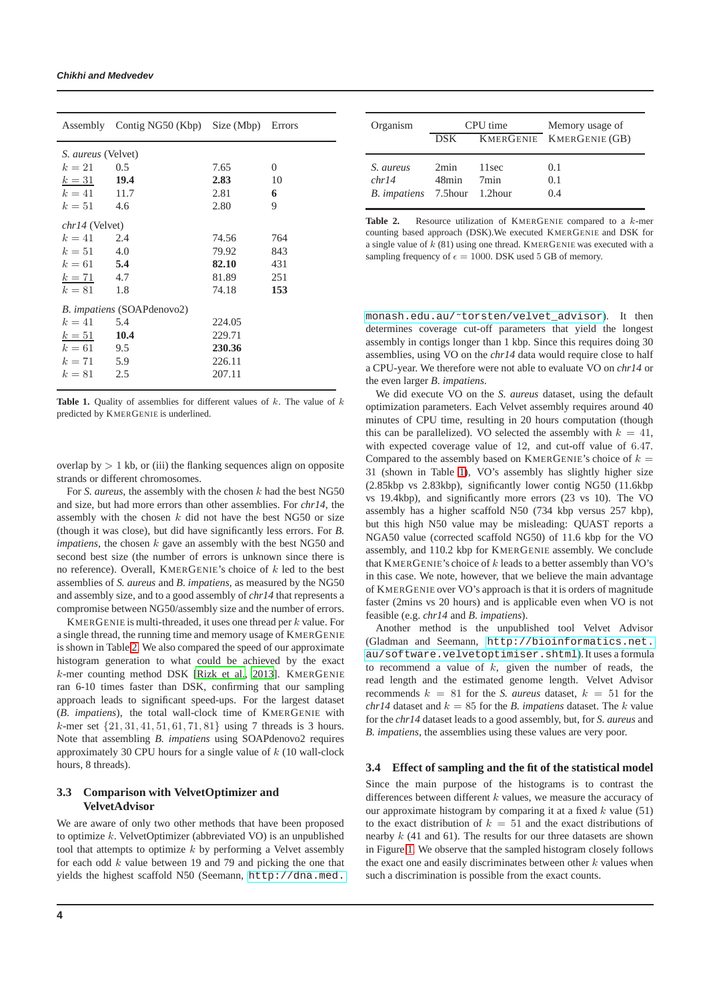|                           | Assembly Contig NG50 (Kbp) Size (Mbp) Errors |        |                |
|---------------------------|----------------------------------------------|--------|----------------|
| <i>S. aureus</i> (Velvet) |                                              |        |                |
| $k=21$                    | 0.5                                          | 7.65   | $\overline{0}$ |
| $k=31$                    | 19.4                                         | 2.83   | 10             |
| $k = 41$ 11.7             |                                              | 2.81   | 6              |
| $k = 51$ 4.6              |                                              | 2.80   | 9              |
| $chr14$ (Velvet)          |                                              |        |                |
| $k = 41$ 2.4              |                                              | 74.56  | 764            |
| $k = 51$ 4.0              |                                              | 79.92  | 843            |
| $k = 61$ 5.4              |                                              | 82.10  | 431            |
| $k = 71$ 4.7              |                                              | 81.89  | 251            |
| $k=81$                    | 1.8                                          | 74.18  | 153            |
|                           | B. impatiens (SOAPdenovo2)                   |        |                |
| $k=41$                    | 5.4                                          | 224.05 |                |
| $k = 51$ 10.4             |                                              | 229.71 |                |
| $k = 61$ 9.5              |                                              | 230.36 |                |
| $k = 71$ 5.9              |                                              | 226.11 |                |
| $k = 81$ 2.5              |                                              | 207.11 |                |
|                           |                                              |        |                |

<span id="page-3-0"></span>

|  | <b>Table 1.</b> Quality of assemblies for different values of k. The value of k |  |  |  |  |  |
|--|---------------------------------------------------------------------------------|--|--|--|--|--|
|  | predicted by KMERGENIE is underlined.                                           |  |  |  |  |  |

overlap by  $> 1$  kb, or (iii) the flanking sequences align on opposite strands or different chromosomes.

For *S. aureus*, the assembly with the chosen k had the best NG50 and size, but had more errors than other assemblies. For *chr14*, the assembly with the chosen  $k$  did not have the best NG50 or size (though it was close), but did have significantly less errors. For *B. impatiens*, the chosen k gave an assembly with the best NG50 and second best size (the number of errors is unknown since there is no reference). Overall, KMERGENIE's choice of  $k$  led to the best assemblies of *S. aureus* and *B. impatiens*, as measured by the NG50 and assembly size, and to a good assembly of *chr14* that represents a compromise between NG50/assembly size and the number of errors.

KMERGENIE is multi-threaded, it uses one thread per  $k$  value. For a single thread, the running time and memory usage of KMERGENIE is shown in Table [2.](#page-3-1) We also compared the speed of our approximate histogram generation to what could be achieved by the exact k-mer counting method DSK [\[Rizk et al.](#page-6-12), [2013](#page-6-12)]. KMERGENIE ran 6-10 times faster than DSK, confirming that our sampling approach leads to significant speed-ups. For the largest dataset (*B. impatiens*), the total wall-clock time of KMERGENIE with k-mer set {21, 31, 41, 51, 61, 71, 81} using 7 threads is 3 hours. Note that assembling *B. impatiens* using SOAPdenovo2 requires approximately 30 CPU hours for a single value of  $k$  (10 wall-clock hours, 8 threads).

## **3.3 Comparison with VelvetOptimizer and VelvetAdvisor**

We are aware of only two other methods that have been proposed to optimize  $k$ . VelvetOptimizer (abbreviated VO) is an unpublished tool that attempts to optimize  $k$  by performing a Velvet assembly for each odd  $k$  value between 19 and 79 and picking the one that yields the highest scaffold N50 (Seemann, [http://dna.med.](http://dna.med.monash.edu.au/~torsten/velvet_advisor)

| Organism                                                    | CPU time<br>DSK. |                                       | Memory usage of<br>KMERGENIE KMERGENIE (GB) |
|-------------------------------------------------------------|------------------|---------------------------------------|---------------------------------------------|
| S. aureus<br>chr14<br><i>B. impatiens</i> 7.5 hour 1.2 hour | 2min<br>48min    | 11 <sub>sec</sub><br>7 <sub>min</sub> | 0.1<br>0.1<br>0.4                           |

<span id="page-3-1"></span>Table 2. Resource utilization of KMERGENIE compared to a  $k$ -mer counting based approach (DSK).We executed KMERGENIE and DSK for a single value of k (81) using one thread. KMERGENIE was executed with a sampling frequency of  $\epsilon = 1000$ . DSK used 5 GB of memory.

[monash.edu.au/˜torsten/velvet\\_advisor](http://dna.med.monash.edu.au/~torsten/velvet_advisor)). It then determines coverage cut-off parameters that yield the longest assembly in contigs longer than 1 kbp. Since this requires doing 30 assemblies, using VO on the *chr14* data would require close to half a CPU-year. We therefore were not able to evaluate VO on *chr14* or the even larger *B. impatiens*.

We did execute VO on the *S. aureus* dataset, using the default optimization parameters. Each Velvet assembly requires around 40 minutes of CPU time, resulting in 20 hours computation (though this can be parallelized). VO selected the assembly with  $k = 41$ , with expected coverage value of 12, and cut-off value of 6.47. Compared to the assembly based on KMERGENIE's choice of  $k =$ 31 (shown in Table [1\)](#page-3-0), VO's assembly has slightly higher size (2.85kbp vs 2.83kbp), significantly lower contig NG50 (11.6kbp vs 19.4kbp), and significantly more errors (23 vs 10). The VO assembly has a higher scaffold N50 (734 kbp versus 257 kbp), but this high N50 value may be misleading: QUAST reports a NGA50 value (corrected scaffold NG50) of 11.6 kbp for the VO assembly, and 110.2 kbp for KMERGENIE assembly. We conclude that KMERGENIE's choice of  $k$  leads to a better assembly than VO's in this case. We note, however, that we believe the main advantage of KMERGENIE over VO's approach is that it is orders of magnitude faster (2mins vs 20 hours) and is applicable even when VO is not feasible (e.g. *chr14* and *B. impatiens*).

Another method is the unpublished tool Velvet Advisor (Gladman and Seemann, [http://bioinformatics.net.](http://bioinformatics.net.au/software.velvetoptimiser.shtml) [au/software.velvetoptimiser.shtml](http://bioinformatics.net.au/software.velvetoptimiser.shtml)).It uses a formula to recommend a value of  $k$ , given the number of reads, the read length and the estimated genome length. Velvet Advisor recommends  $k = 81$  for the *S. aureus* dataset,  $k = 51$  for the *chr14* dataset and  $k = 85$  for the *B. impatiens* dataset. The *k* value for the *chr14* dataset leads to a good assembly, but, for *S. aureus* and *B. impatiens*, the assemblies using these values are very poor.

### **3.4 Effect of sampling and the fit of the statistical model**

Since the main purpose of the histograms is to contrast the differences between different  $k$  values, we measure the accuracy of our approximate histogram by comparing it at a fixed  $k$  value (51) to the exact distribution of  $k = 51$  and the exact distributions of nearby  $k$  (41 and 61). The results for our three datasets are shown in Figure [1.](#page-4-0) We observe that the sampled histogram closely follows the exact one and easily discriminates between other  $k$  values when such a discrimination is possible from the exact counts.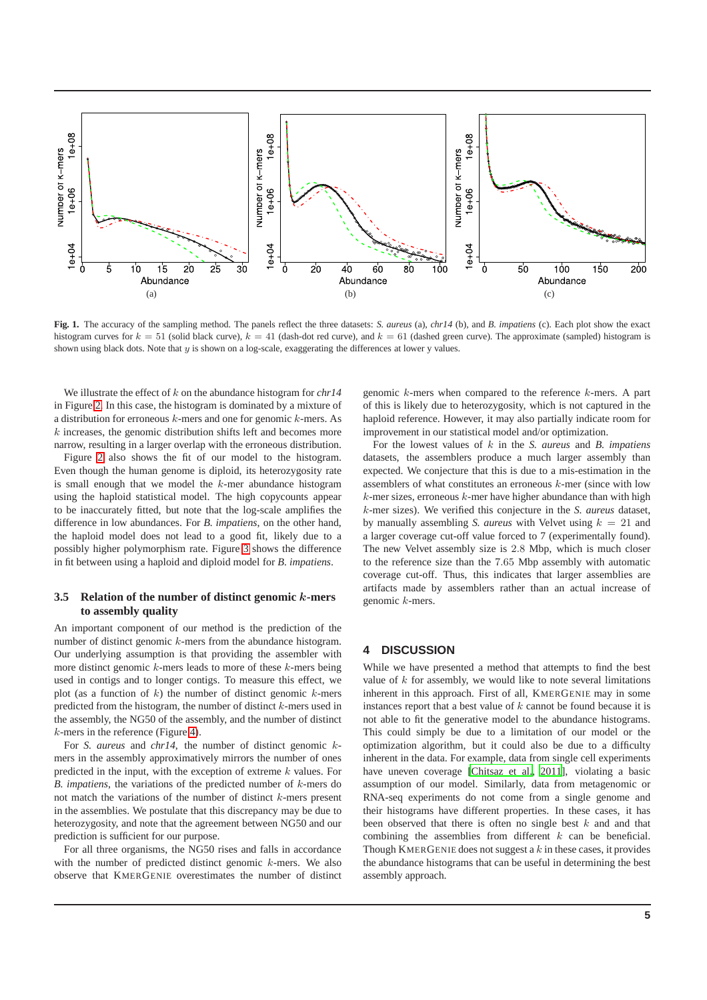

<span id="page-4-0"></span>**Fig. 1.** The accuracy of the sampling method. The panels reflect the three datasets: *S. aureus* (a), *chr14* (b), and *B. impatiens* (c). Each plot show the exact histogram curves for  $k = 51$  (solid black curve),  $k = 41$  (dash-dot red curve), and  $k = 61$  (dashed green curve). The approximate (sampled) histogram is shown using black dots. Note that  $y$  is shown on a log-scale, exaggerating the differences at lower  $y$  values.

We illustrate the effect of k on the abundance histogram for *chr14* in Figure [2.](#page-5-0) In this case, the histogram is dominated by a mixture of a distribution for erroneous k-mers and one for genomic k-mers. As  $k$  increases, the genomic distribution shifts left and becomes more narrow, resulting in a larger overlap with the erroneous distribution.

Figure [2](#page-5-0) also shows the fit of our model to the histogram. Even though the human genome is diploid, its heterozygosity rate is small enough that we model the  $k$ -mer abundance histogram using the haploid statistical model. The high copycounts appear to be inaccurately fitted, but note that the log-scale amplifies the difference in low abundances. For *B. impatiens*, on the other hand, the haploid model does not lead to a good fit, likely due to a possibly higher polymorphism rate. Figure [3](#page-5-1) shows the difference in fit between using a haploid and diploid model for *B. impatiens*.

## **3.5 Relation of the number of distinct genomic** k**-mers to assembly quality**

An important component of our method is the prediction of the number of distinct genomic k-mers from the abundance histogram. Our underlying assumption is that providing the assembler with more distinct genomic  $k$ -mers leads to more of these  $k$ -mers being used in contigs and to longer contigs. To measure this effect, we plot (as a function of  $k$ ) the number of distinct genomic  $k$ -mers predicted from the histogram, the number of distinct k-mers used in the assembly, the NG50 of the assembly, and the number of distinct  $k$ -mers in the reference (Figure [4\)](#page-5-2).

For *S. aureus* and *chr14*, the number of distinct genomic kmers in the assembly approximatively mirrors the number of ones predicted in the input, with the exception of extreme  $k$  values. For *B. impatiens*, the variations of the predicted number of k-mers do not match the variations of the number of distinct  $k$ -mers present in the assemblies. We postulate that this discrepancy may be due to heterozygosity, and note that the agreement between NG50 and our prediction is sufficient for our purpose.

For all three organisms, the NG50 rises and falls in accordance with the number of predicted distinct genomic  $k$ -mers. We also observe that KMERGENIE overestimates the number of distinct genomic k-mers when compared to the reference k-mers. A part of this is likely due to heterozygosity, which is not captured in the haploid reference. However, it may also partially indicate room for improvement in our statistical model and/or optimization.

For the lowest values of k in the *S. aureus* and *B. impatiens* datasets, the assemblers produce a much larger assembly than expected. We conjecture that this is due to a mis-estimation in the assemblers of what constitutes an erroneous  $k$ -mer (since with low  $k$ -mer sizes, erroneous  $k$ -mer have higher abundance than with high k-mer sizes). We verified this conjecture in the *S. aureus* dataset, by manually assembling *S. aureus* with Velvet using  $k = 21$  and a larger coverage cut-off value forced to 7 (experimentally found). The new Velvet assembly size is 2.8 Mbp, which is much closer to the reference size than the 7.65 Mbp assembly with automatic coverage cut-off. Thus, this indicates that larger assemblies are artifacts made by assemblers rather than an actual increase of genomic k-mers.

## **4 DISCUSSION**

While we have presented a method that attempts to find the best value of  $k$  for assembly, we would like to note several limitations inherent in this approach. First of all, KMERGENIE may in some instances report that a best value of  $k$  cannot be found because it is not able to fit the generative model to the abundance histograms. This could simply be due to a limitation of our model or the optimization algorithm, but it could also be due to a difficulty inherent in the data. For example, data from single cell experiments have uneven coverage [\[Chitsaz et al.](#page-6-19), [2011\]](#page-6-19), violating a basic assumption of our model. Similarly, data from metagenomic or RNA-seq experiments do not come from a single genome and their histograms have different properties. In these cases, it has been observed that there is often no single best  $k$  and and that combining the assemblies from different  $k$  can be beneficial. Though KMERGENIE does not suggest a  $k$  in these cases, it provides the abundance histograms that can be useful in determining the best assembly approach.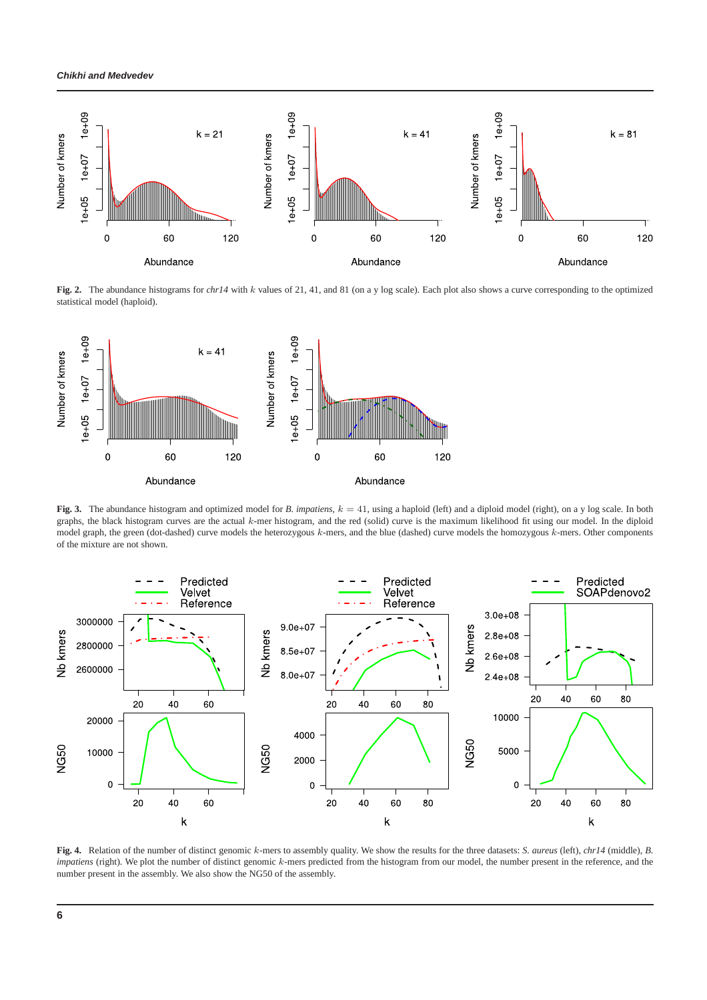

<span id="page-5-0"></span>**Fig. 2.** The abundance histograms for *chr14* with k values of 21, 41, and 81 (on a y log scale). Each plot also shows a curve corresponding to the optimized statistical model (haploid).



<span id="page-5-1"></span>Fig. 3. The abundance histogram and optimized model for *B. impatiens*,  $k = 41$ , using a haploid (left) and a diploid model (right), on a y log scale. In both graphs, the black histogram curves are the actual k-mer histogram, and the red (solid) curve is the maximum likelihood fit using our model. In the diploid model graph, the green (dot-dashed) curve models the heterozygous k-mers, and the blue (dashed) curve models the homozygous k-mers. Other components of the mixture are not shown.



<span id="page-5-2"></span>**Fig. 4.** Relation of the number of distinct genomic k-mers to assembly quality. We show the results for the three datasets: *S. aureus* (left), *chr14* (middle), *B. impatiens* (right). We plot the number of distinct genomic k-mers predicted from the histogram from our model, the number present in the reference, and the number present in the assembly. We also show the NG50 of the assembly.